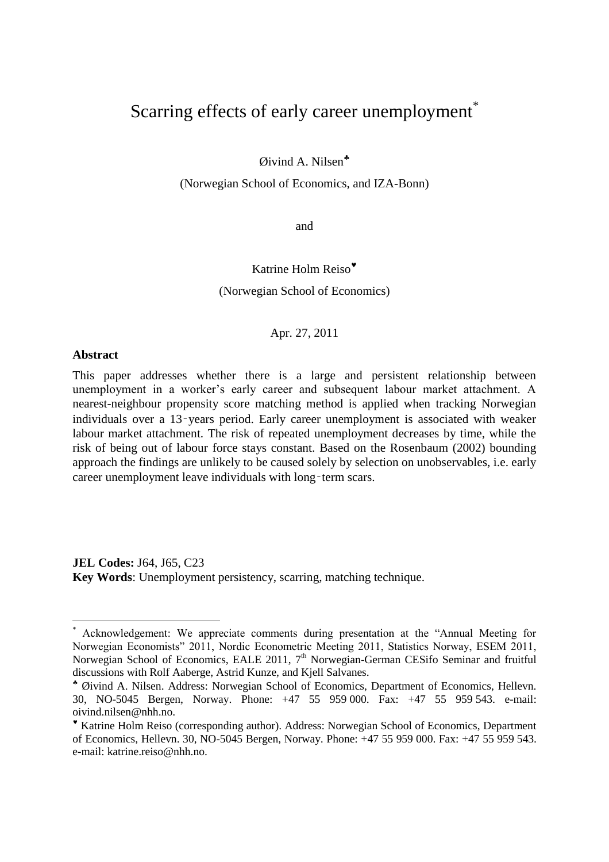# Scarring effects of early career unemployment<sup>\*</sup>

Øivind A. Nilsen

(Norwegian School of Economics, and IZA-Bonn)

and

# Katrine Holm Reiso (Norwegian School of Economics)

#### Apr. 27, 2011

#### **Abstract**

 $\overline{a}$ 

This paper addresses whether there is a large and persistent relationship between unemployment in a worker's early career and subsequent labour market attachment. A nearest-neighbour propensity score matching method is applied when tracking Norwegian individuals over a 13‑years period. Early career unemployment is associated with weaker labour market attachment. The risk of repeated unemployment decreases by time, while the risk of being out of labour force stays constant. Based on the Rosenbaum (2002) bounding approach the findings are unlikely to be caused solely by selection on unobservables, i.e. early career unemployment leave individuals with long-term scars.

**JEL Codes:** J64, J65, C23 **Key Words**: Unemployment persistency, scarring, matching technique.

Acknowledgement: We appreciate comments during presentation at the "Annual Meeting for Norwegian Economists" 2011, Nordic Econometric Meeting 2011, Statistics Norway, ESEM 2011, Norwegian School of Economics, EALE 2011, 7<sup>th</sup> Norwegian-German CESifo Seminar and fruitful discussions with Rolf Aaberge, Astrid Kunze, and Kjell Salvanes.

Øivind A. Nilsen. Address: Norwegian School of Economics, Department of Economics, Hellevn. 30, NO-5045 Bergen, Norway. Phone: +47 55 959 000. Fax: +47 55 959 543. e-mail: oivind.nilsen@nhh.no.

Katrine Holm Reiso (corresponding author). Address: Norwegian School of Economics, Department of Economics, Hellevn. 30, NO-5045 Bergen, Norway. Phone: +47 55 959 000. Fax: +47 55 959 543. e-mail: katrine.reiso@nhh.no.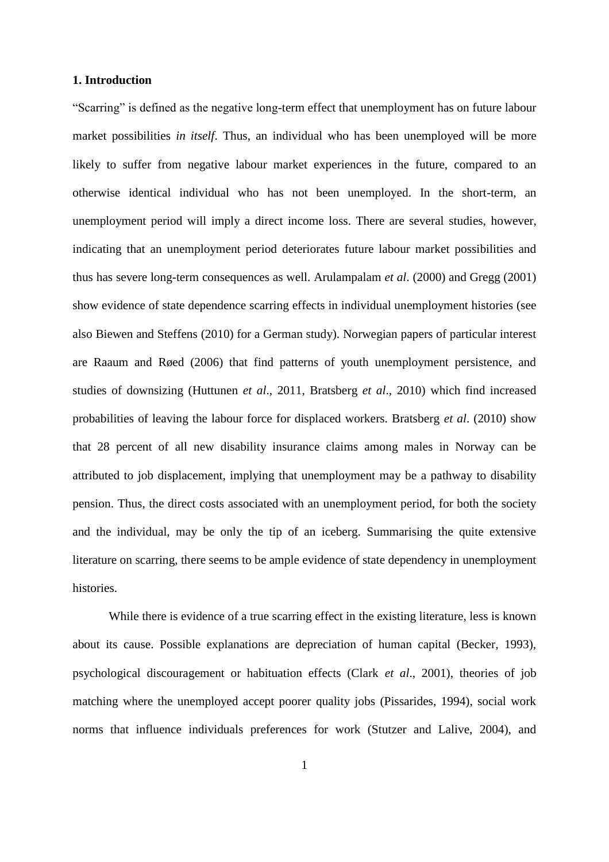#### **1. Introduction**

"Scarring" is defined as the negative long-term effect that unemployment has on future labour market possibilities *in itself*. Thus, an individual who has been unemployed will be more likely to suffer from negative labour market experiences in the future, compared to an otherwise identical individual who has not been unemployed. In the short-term, an unemployment period will imply a direct income loss. There are several studies, however, indicating that an unemployment period deteriorates future labour market possibilities and thus has severe long-term consequences as well. Arulampalam *et al*. (2000) and Gregg (2001) show evidence of state dependence scarring effects in individual unemployment histories (see also Biewen and Steffens (2010) for a German study). Norwegian papers of particular interest are Raaum and Røed (2006) that find patterns of youth unemployment persistence, and studies of downsizing (Huttunen *et al*., 2011, Bratsberg *et al*., 2010) which find increased probabilities of leaving the labour force for displaced workers. Bratsberg *et al*. (2010) show that 28 percent of all new disability insurance claims among males in Norway can be attributed to job displacement, implying that unemployment may be a pathway to disability pension. Thus, the direct costs associated with an unemployment period, for both the society and the individual, may be only the tip of an iceberg. Summarising the quite extensive literature on scarring, there seems to be ample evidence of state dependency in unemployment histories.

While there is evidence of a true scarring effect in the existing literature, less is known about its cause. Possible explanations are depreciation of human capital (Becker, 1993), psychological discouragement or habituation effects (Clark *et al*., 2001), theories of job matching where the unemployed accept poorer quality jobs (Pissarides, 1994), social work norms that influence individuals preferences for work (Stutzer and Lalive, 2004), and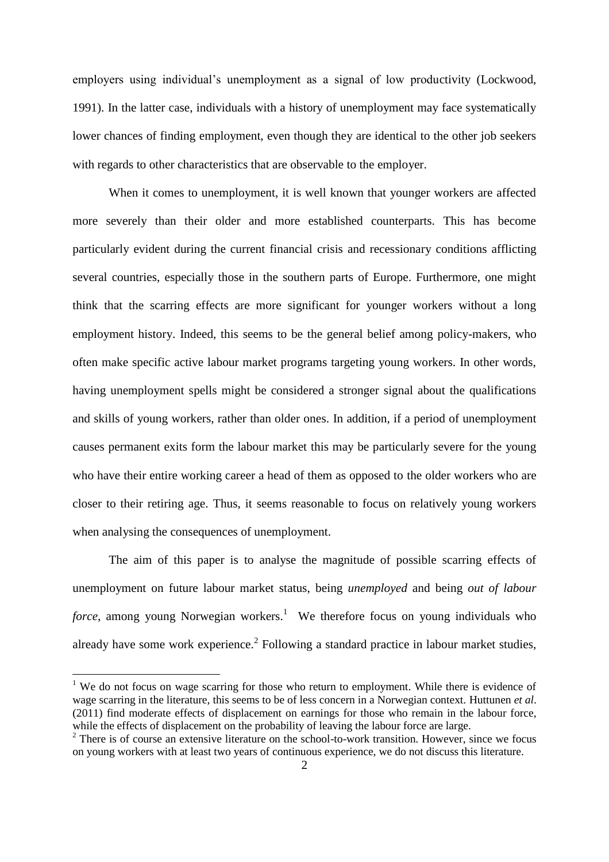employers using individual's unemployment as a signal of low productivity (Lockwood, 1991). In the latter case, individuals with a history of unemployment may face systematically lower chances of finding employment, even though they are identical to the other job seekers with regards to other characteristics that are observable to the employer.

When it comes to unemployment, it is well known that younger workers are affected more severely than their older and more established counterparts. This has become particularly evident during the current financial crisis and recessionary conditions afflicting several countries, especially those in the southern parts of Europe. Furthermore, one might think that the scarring effects are more significant for younger workers without a long employment history. Indeed, this seems to be the general belief among policy-makers, who often make specific active labour market programs targeting young workers. In other words, having unemployment spells might be considered a stronger signal about the qualifications and skills of young workers, rather than older ones. In addition, if a period of unemployment causes permanent exits form the labour market this may be particularly severe for the young who have their entire working career a head of them as opposed to the older workers who are closer to their retiring age. Thus, it seems reasonable to focus on relatively young workers when analysing the consequences of unemployment.

The aim of this paper is to analyse the magnitude of possible scarring effects of unemployment on future labour market status, being *unemployed* and being *out of labour force*, among young Norwegian workers.<sup>1</sup> We therefore focus on young individuals who already have some work experience.<sup>2</sup> Following a standard practice in labour market studies,

<sup>&</sup>lt;sup>1</sup> We do not focus on wage scarring for those who return to employment. While there is evidence of wage scarring in the literature, this seems to be of less concern in a Norwegian context. Huttunen *et al*. (2011) find moderate effects of displacement on earnings for those who remain in the labour force, while the effects of displacement on the probability of leaving the labour force are large.

 $2$  There is of course an extensive literature on the school-to-work transition. However, since we focus on young workers with at least two years of continuous experience, we do not discuss this literature.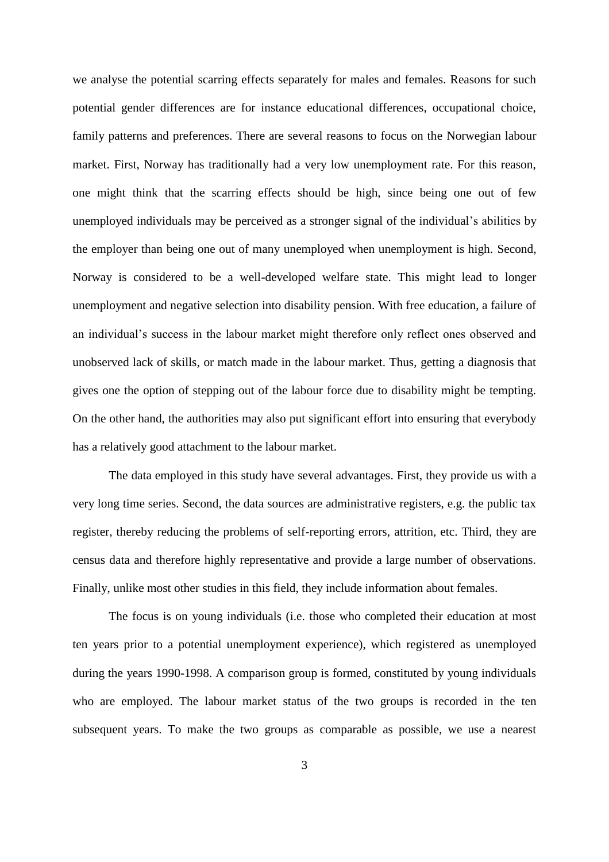we analyse the potential scarring effects separately for males and females. Reasons for such potential gender differences are for instance educational differences, occupational choice, family patterns and preferences. There are several reasons to focus on the Norwegian labour market. First, Norway has traditionally had a very low unemployment rate. For this reason, one might think that the scarring effects should be high, since being one out of few unemployed individuals may be perceived as a stronger signal of the individual's abilities by the employer than being one out of many unemployed when unemployment is high. Second, Norway is considered to be a well-developed welfare state. This might lead to longer unemployment and negative selection into disability pension. With free education, a failure of an individual's success in the labour market might therefore only reflect ones observed and unobserved lack of skills, or match made in the labour market. Thus, getting a diagnosis that gives one the option of stepping out of the labour force due to disability might be tempting. On the other hand, the authorities may also put significant effort into ensuring that everybody has a relatively good attachment to the labour market.

The data employed in this study have several advantages. First, they provide us with a very long time series. Second, the data sources are administrative registers, e.g. the public tax register, thereby reducing the problems of self-reporting errors, attrition, etc. Third, they are census data and therefore highly representative and provide a large number of observations. Finally, unlike most other studies in this field, they include information about females.

The focus is on young individuals (i.e. those who completed their education at most ten years prior to a potential unemployment experience), which registered as unemployed during the years 1990-1998. A comparison group is formed, constituted by young individuals who are employed. The labour market status of the two groups is recorded in the ten subsequent years. To make the two groups as comparable as possible, we use a nearest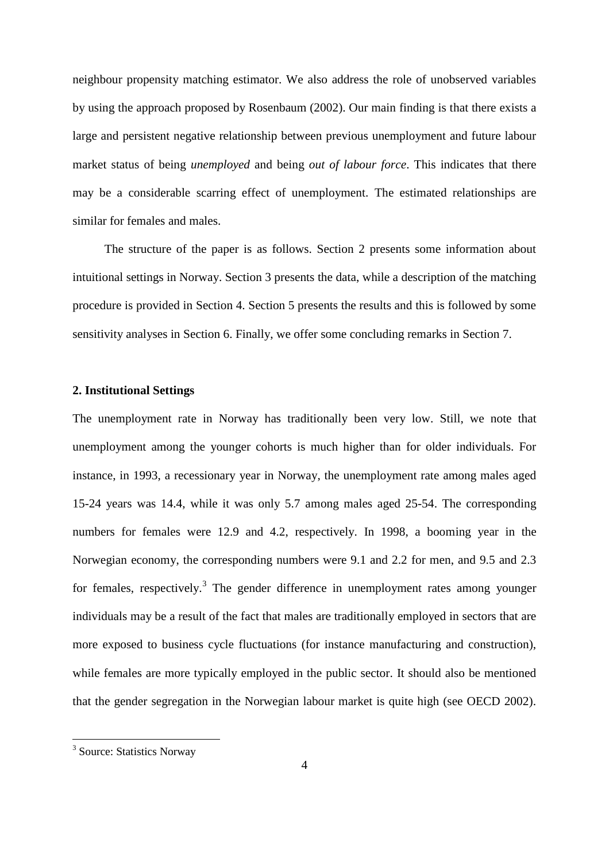neighbour propensity matching estimator. We also address the role of unobserved variables by using the approach proposed by Rosenbaum (2002). Our main finding is that there exists a large and persistent negative relationship between previous unemployment and future labour market status of being *unemployed* and being *out of labour force*. This indicates that there may be a considerable scarring effect of unemployment. The estimated relationships are similar for females and males.

The structure of the paper is as follows. Section 2 presents some information about intuitional settings in Norway. Section 3 presents the data, while a description of the matching procedure is provided in Section 4. Section 5 presents the results and this is followed by some sensitivity analyses in Section 6. Finally, we offer some concluding remarks in Section 7.

#### **2. Institutional Settings**

The unemployment rate in Norway has traditionally been very low. Still, we note that unemployment among the younger cohorts is much higher than for older individuals. For instance, in 1993, a recessionary year in Norway, the unemployment rate among males aged 15-24 years was 14.4, while it was only 5.7 among males aged 25-54. The corresponding numbers for females were 12.9 and 4.2, respectively. In 1998, a booming year in the Norwegian economy, the corresponding numbers were 9.1 and 2.2 for men, and 9.5 and 2.3 for females, respectively.<sup>3</sup> The gender difference in unemployment rates among younger individuals may be a result of the fact that males are traditionally employed in sectors that are more exposed to business cycle fluctuations (for instance manufacturing and construction), while females are more typically employed in the public sector. It should also be mentioned that the gender segregation in the Norwegian labour market is quite high (see OECD 2002).

<sup>&</sup>lt;sup>3</sup> Source: Statistics Norway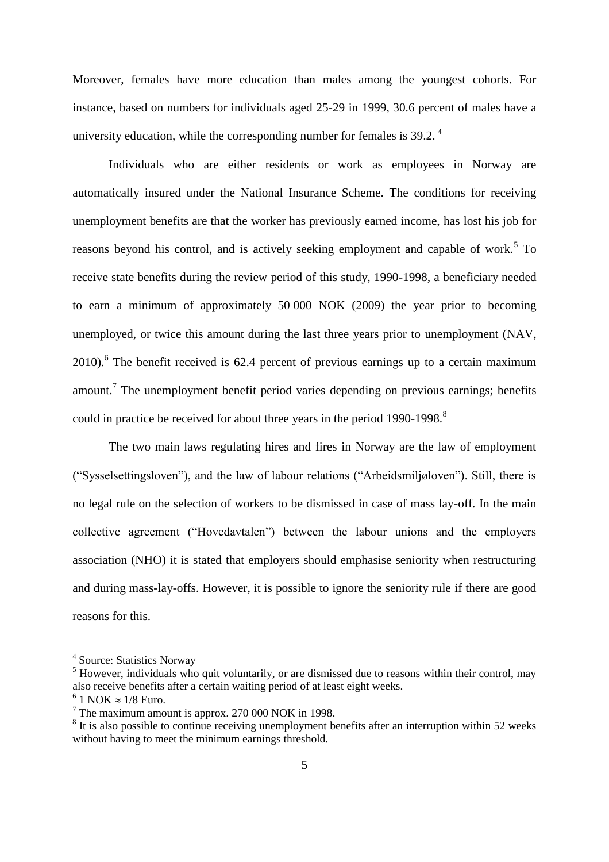Moreover, females have more education than males among the youngest cohorts. For instance, based on numbers for individuals aged 25-29 in 1999, 30.6 percent of males have a university education, while the corresponding number for females is 39.2.<sup>4</sup>

Individuals who are either residents or work as employees in Norway are automatically insured under the National Insurance Scheme. The conditions for receiving unemployment benefits are that the worker has previously earned income, has lost his job for reasons beyond his control, and is actively seeking employment and capable of work.<sup>5</sup> To receive state benefits during the review period of this study, 1990-1998, a beneficiary needed to earn a minimum of approximately 50 000 NOK (2009) the year prior to becoming unemployed, or twice this amount during the last three years prior to unemployment (NAV,  $2010$ .<sup>6</sup> The benefit received is 62.4 percent of previous earnings up to a certain maximum amount.<sup>7</sup> The unemployment benefit period varies depending on previous earnings; benefits could in practice be received for about three years in the period 1990-1998.<sup>8</sup>

The two main laws regulating hires and fires in Norway are the law of employment ("Sysselsettingsloven"), and the law of labour relations ("Arbeidsmiljøloven"). Still, there is no legal rule on the selection of workers to be dismissed in case of mass lay-off. In the main collective agreement ("Hovedavtalen") between the labour unions and the employers association (NHO) it is stated that employers should emphasise seniority when restructuring and during mass-lay-offs. However, it is possible to ignore the seniority rule if there are good reasons for this.

 4 Source: Statistics Norway

 $<sup>5</sup>$  However, individuals who quit voluntarily, or are dismissed due to reasons within their control, may</sup> also receive benefits after a certain waiting period of at least eight weeks.

 $6$  1 NOK  $\approx$  1/8 Euro.

<sup>7</sup> The maximum amount is approx. 270 000 NOK in 1998.

 $8$  It is also possible to continue receiving unemployment benefits after an interruption within 52 weeks without having to meet the minimum earnings threshold.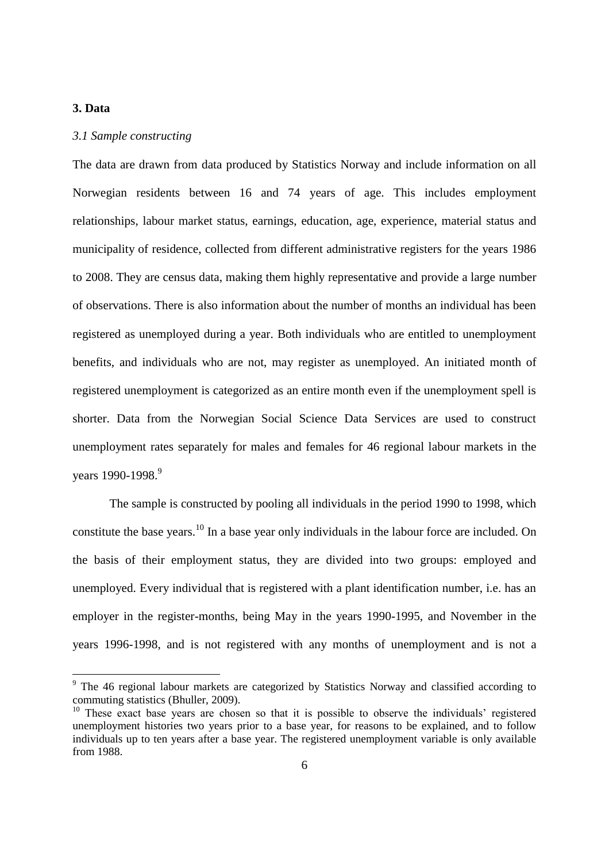## **3. Data**

#### *3.1 Sample constructing*

The data are drawn from data produced by Statistics Norway and include information on all Norwegian residents between 16 and 74 years of age. This includes employment relationships, labour market status, earnings, education, age, experience, material status and municipality of residence, collected from different administrative registers for the years 1986 to 2008. They are census data, making them highly representative and provide a large number of observations. There is also information about the number of months an individual has been registered as unemployed during a year. Both individuals who are entitled to unemployment benefits, and individuals who are not, may register as unemployed. An initiated month of registered unemployment is categorized as an entire month even if the unemployment spell is shorter. Data from the Norwegian Social Science Data Services are used to construct unemployment rates separately for males and females for 46 regional labour markets in the years 1990-1998.<sup>9</sup>

The sample is constructed by pooling all individuals in the period 1990 to 1998, which constitute the base years.<sup>10</sup> In a base year only individuals in the labour force are included. On the basis of their employment status, they are divided into two groups: employed and unemployed. Every individual that is registered with a plant identification number, i.e. has an employer in the register-months, being May in the years 1990-1995, and November in the years 1996-1998, and is not registered with any months of unemployment and is not a

<sup>&</sup>lt;sup>9</sup> The 46 regional labour markets are categorized by Statistics Norway and classified according to commuting statistics (Bhuller, 2009).

<sup>&</sup>lt;sup>10</sup> These exact base years are chosen so that it is possible to observe the individuals' registered unemployment histories two years prior to a base year, for reasons to be explained, and to follow individuals up to ten years after a base year. The registered unemployment variable is only available from 1988.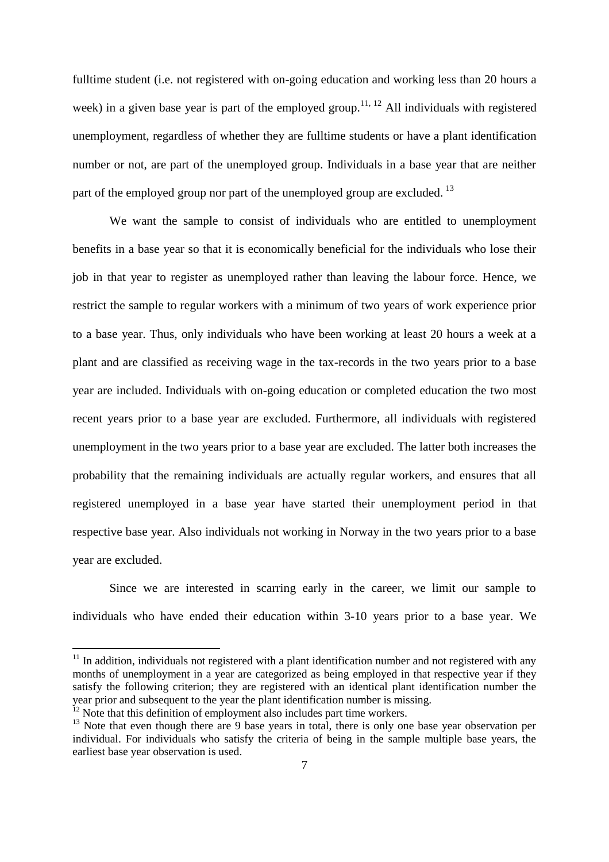fulltime student (i.e. not registered with on-going education and working less than 20 hours a week) in a given base year is part of the employed group.<sup>11, 12</sup> All individuals with registered unemployment, regardless of whether they are fulltime students or have a plant identification number or not, are part of the unemployed group. Individuals in a base year that are neither part of the employed group nor part of the unemployed group are excluded.  $^{13}$ 

We want the sample to consist of individuals who are entitled to unemployment benefits in a base year so that it is economically beneficial for the individuals who lose their job in that year to register as unemployed rather than leaving the labour force. Hence, we restrict the sample to regular workers with a minimum of two years of work experience prior to a base year. Thus, only individuals who have been working at least 20 hours a week at a plant and are classified as receiving wage in the tax-records in the two years prior to a base year are included. Individuals with on-going education or completed education the two most recent years prior to a base year are excluded. Furthermore, all individuals with registered unemployment in the two years prior to a base year are excluded. The latter both increases the probability that the remaining individuals are actually regular workers, and ensures that all registered unemployed in a base year have started their unemployment period in that respective base year. Also individuals not working in Norway in the two years prior to a base year are excluded.

Since we are interested in scarring early in the career, we limit our sample to individuals who have ended their education within 3-10 years prior to a base year. We

 $\overline{a}$ 

 $11$  In addition, individuals not registered with a plant identification number and not registered with any months of unemployment in a year are categorized as being employed in that respective year if they satisfy the following criterion; they are registered with an identical plant identification number the year prior and subsequent to the year the plant identification number is missing.

 $12$  Note that this definition of employment also includes part time workers.

 $13$  Note that even though there are 9 base years in total, there is only one base year observation per individual. For individuals who satisfy the criteria of being in the sample multiple base years, the earliest base year observation is used.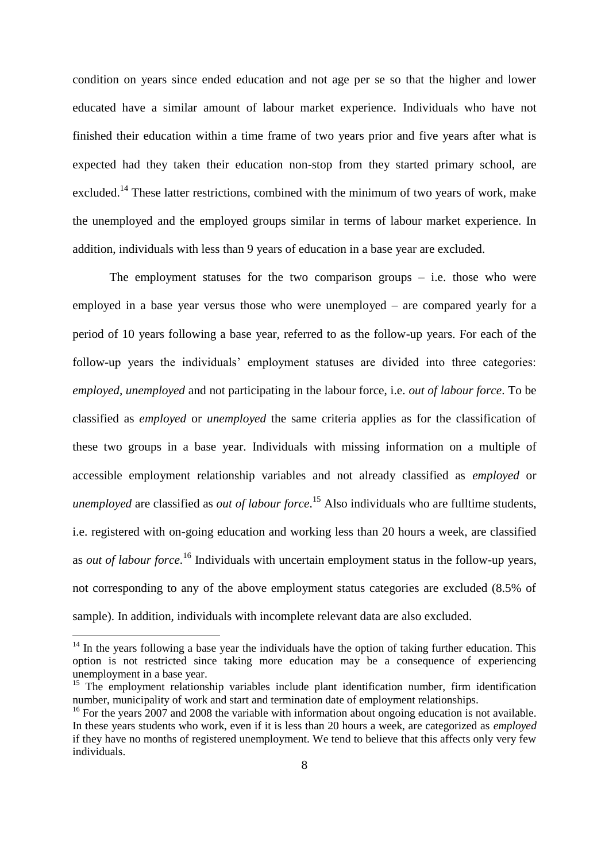condition on years since ended education and not age per se so that the higher and lower educated have a similar amount of labour market experience. Individuals who have not finished their education within a time frame of two years prior and five years after what is expected had they taken their education non-stop from they started primary school, are excluded.<sup>14</sup> These latter restrictions, combined with the minimum of two years of work, make the unemployed and the employed groups similar in terms of labour market experience. In addition, individuals with less than 9 years of education in a base year are excluded.

The employment statuses for the two comparison groups  $-$  i.e. those who were employed in a base year versus those who were unemployed – are compared yearly for a period of 10 years following a base year, referred to as the follow-up years. For each of the follow-up years the individuals' employment statuses are divided into three categories: *employed, unemployed* and not participating in the labour force, i.e. *out of labour force*. To be classified as *employed* or *unemployed* the same criteria applies as for the classification of these two groups in a base year. Individuals with missing information on a multiple of accessible employment relationship variables and not already classified as *employed* or *unemployed* are classified as *out of labour force*. <sup>15</sup> Also individuals who are fulltime students, i.e. registered with on-going education and working less than 20 hours a week, are classified as *out of labour force*. <sup>16</sup> Individuals with uncertain employment status in the follow-up years, not corresponding to any of the above employment status categories are excluded (8.5% of sample). In addition, individuals with incomplete relevant data are also excluded.

 $\overline{a}$ 

 $14$  In the years following a base year the individuals have the option of taking further education. This option is not restricted since taking more education may be a consequence of experiencing unemployment in a base year.

<sup>&</sup>lt;sup>15</sup> The employment relationship variables include plant identification number, firm identification number, municipality of work and start and termination date of employment relationships.

<sup>&</sup>lt;sup>16</sup> For the years 2007 and 2008 the variable with information about ongoing education is not available. In these years students who work, even if it is less than 20 hours a week, are categorized as *employed* if they have no months of registered unemployment. We tend to believe that this affects only very few individuals.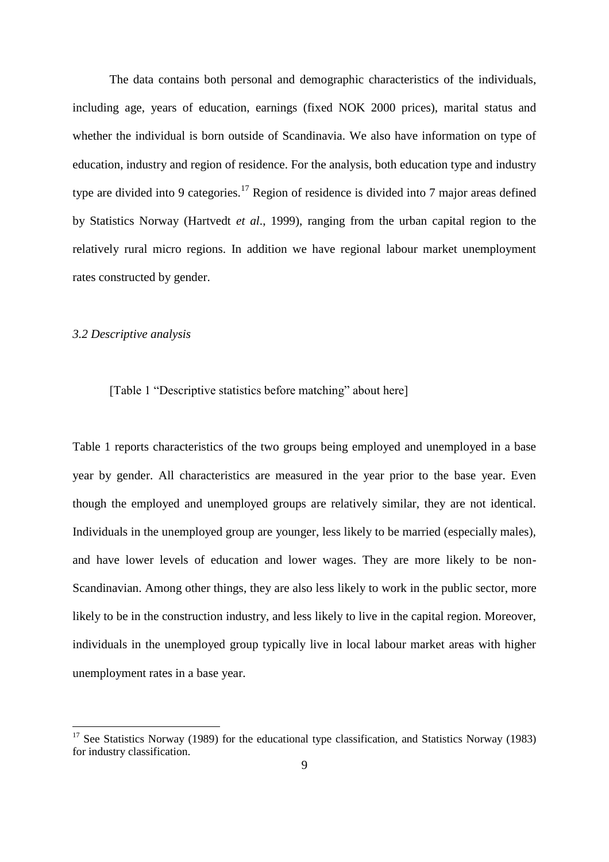The data contains both personal and demographic characteristics of the individuals, including age, years of education, earnings (fixed NOK 2000 prices), marital status and whether the individual is born outside of Scandinavia. We also have information on type of education, industry and region of residence. For the analysis, both education type and industry type are divided into 9 categories.<sup>17</sup> Region of residence is divided into 7 major areas defined by Statistics Norway (Hartvedt *et al*., 1999), ranging from the urban capital region to the relatively rural micro regions. In addition we have regional labour market unemployment rates constructed by gender.

### *3.2 Descriptive analysis*

 $\overline{a}$ 

## [Table 1 "Descriptive statistics before matching" about here]

Table 1 reports characteristics of the two groups being employed and unemployed in a base year by gender. All characteristics are measured in the year prior to the base year. Even though the employed and unemployed groups are relatively similar, they are not identical. Individuals in the unemployed group are younger, less likely to be married (especially males), and have lower levels of education and lower wages. They are more likely to be non-Scandinavian. Among other things, they are also less likely to work in the public sector, more likely to be in the construction industry, and less likely to live in the capital region. Moreover, individuals in the unemployed group typically live in local labour market areas with higher unemployment rates in a base year.

<sup>&</sup>lt;sup>17</sup> See Statistics Norway (1989) for the educational type classification, and Statistics Norway (1983) for industry classification.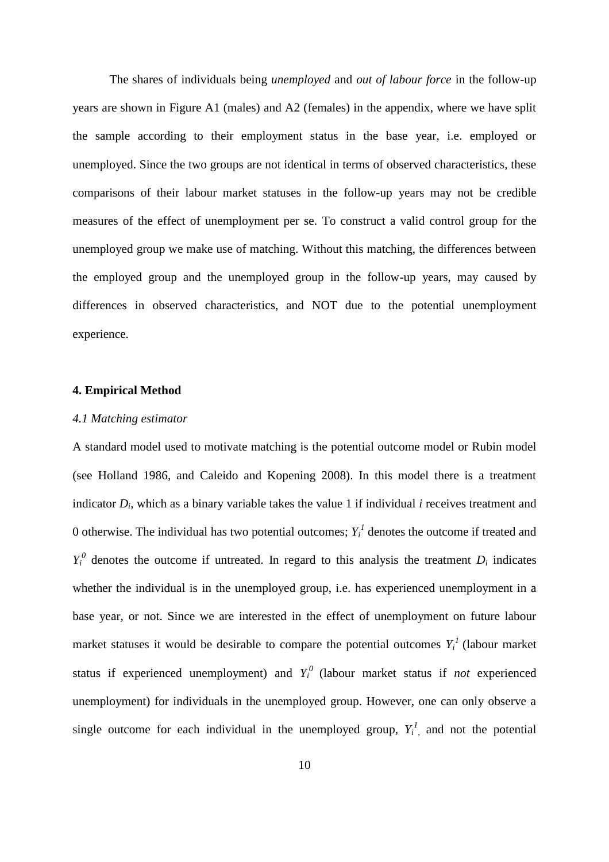The shares of individuals being *unemployed* and *out of labour force* in the follow-up years are shown in Figure A1 (males) and A2 (females) in the appendix, where we have split the sample according to their employment status in the base year, i.e. employed or unemployed. Since the two groups are not identical in terms of observed characteristics, these comparisons of their labour market statuses in the follow-up years may not be credible measures of the effect of unemployment per se. To construct a valid control group for the unemployed group we make use of matching. Without this matching, the differences between the employed group and the unemployed group in the follow-up years, may caused by differences in observed characteristics, and NOT due to the potential unemployment experience.

#### **4. Empirical Method**

#### *4.1 Matching estimator*

A standard model used to motivate matching is the potential outcome model or Rubin model (see Holland 1986, and Caleido and Kopening 2008). In this model there is a treatment indicator *D<sup>i</sup>* , which as a binary variable takes the value 1 if individual *i* receives treatment and 0 otherwise. The individual has two potential outcomes;  $Y_i^I$  denotes the outcome if treated and  $Y_i^0$  denotes the outcome if untreated. In regard to this analysis the treatment  $D_i$  indicates whether the individual is in the unemployed group, i.e. has experienced unemployment in a base year, or not. Since we are interested in the effect of unemployment on future labour market statuses it would be desirable to compare the potential outcomes  $Y_i^I$  (labour market status if experienced unemployment) and  $Y_i^0$  (labour market status if *not* experienced unemployment) for individuals in the unemployed group. However, one can only observe a single outcome for each individual in the unemployed group,  $Y_i^1$ , and not the potential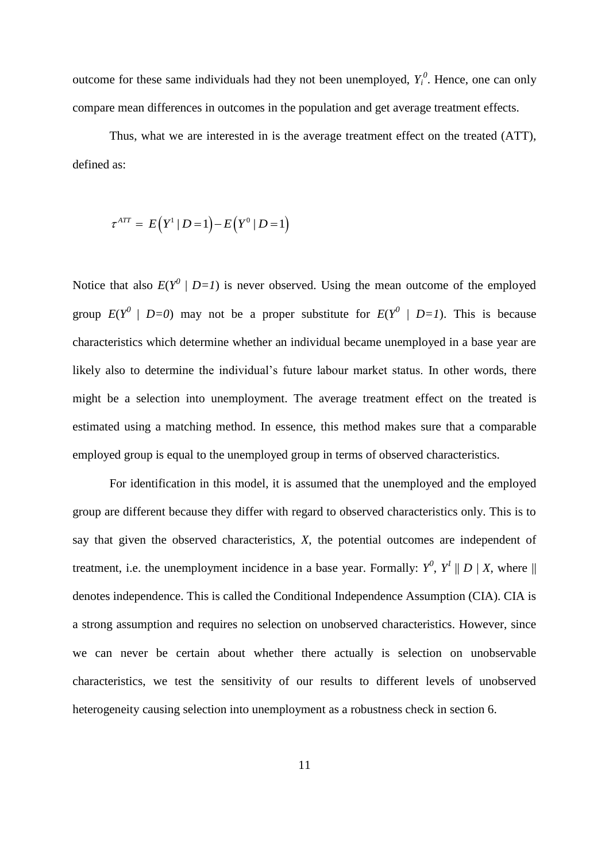outcome for these same individuals had they not been unemployed,  $Y_i^0$ . Hence, one can only compare mean differences in outcomes in the population and get average treatment effects.

Thus, what we are interested in is the average treatment effect on the treated (ATT), defined as:

$$
\tau^{ATT} = E(Y^1 | D = 1) - E(Y^0 | D = 1)
$$

Notice that also  $E(Y^0 | D=1)$  is never observed. Using the mean outcome of the employed group  $E(Y^0 \mid D=0)$  may not be a proper substitute for  $E(Y^0 \mid D=1)$ . This is because characteristics which determine whether an individual became unemployed in a base year are likely also to determine the individual's future labour market status. In other words, there might be a selection into unemployment. The average treatment effect on the treated is estimated using a matching method. In essence, this method makes sure that a comparable employed group is equal to the unemployed group in terms of observed characteristics.

For identification in this model, it is assumed that the unemployed and the employed group are different because they differ with regard to observed characteristics only. This is to say that given the observed characteristics, *X*, the potential outcomes are independent of treatment, i.e. the unemployment incidence in a base year. Formally:  $Y^0$ ,  $Y^1 \parallel D \mid X$ , where  $\parallel$ denotes independence. This is called the Conditional Independence Assumption (CIA). CIA is a strong assumption and requires no selection on unobserved characteristics. However, since we can never be certain about whether there actually is selection on unobservable characteristics, we test the sensitivity of our results to different levels of unobserved heterogeneity causing selection into unemployment as a robustness check in section 6.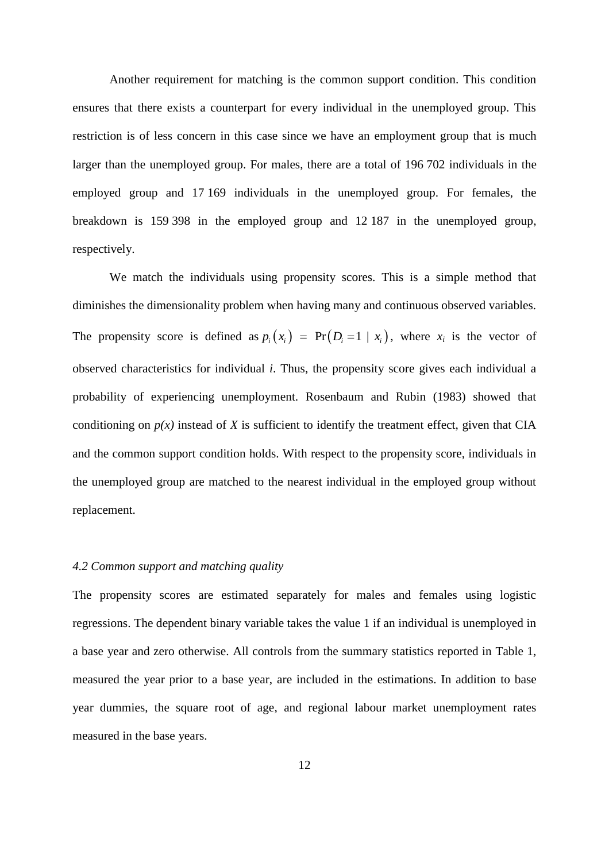Another requirement for matching is the common support condition. This condition ensures that there exists a counterpart for every individual in the unemployed group. This restriction is of less concern in this case since we have an employment group that is much larger than the unemployed group. For males, there are a total of 196 702 individuals in the employed group and 17 169 individuals in the unemployed group. For females, the breakdown is 159 398 in the employed group and 12 187 in the unemployed group, respectively.

We match the individuals using propensity scores. This is a simple method that diminishes the dimensionality problem when having many and continuous observed variables. The propensity score is defined as  $p_i(x_i) = Pr(D_i = 1 | x_i)$ , where  $x_i$  is the vector of observed characteristics for individual *i*. Thus, the propensity score gives each individual a probability of experiencing unemployment. Rosenbaum and Rubin (1983) showed that conditioning on  $p(x)$  instead of *X* is sufficient to identify the treatment effect, given that CIA and the common support condition holds. With respect to the propensity score, individuals in the unemployed group are matched to the nearest individual in the employed group without replacement.

#### *4.2 Common support and matching quality*

The propensity scores are estimated separately for males and females using logistic regressions. The dependent binary variable takes the value 1 if an individual is unemployed in a base year and zero otherwise. All controls from the summary statistics reported in Table 1, measured the year prior to a base year, are included in the estimations. In addition to base year dummies, the square root of age, and regional labour market unemployment rates measured in the base years.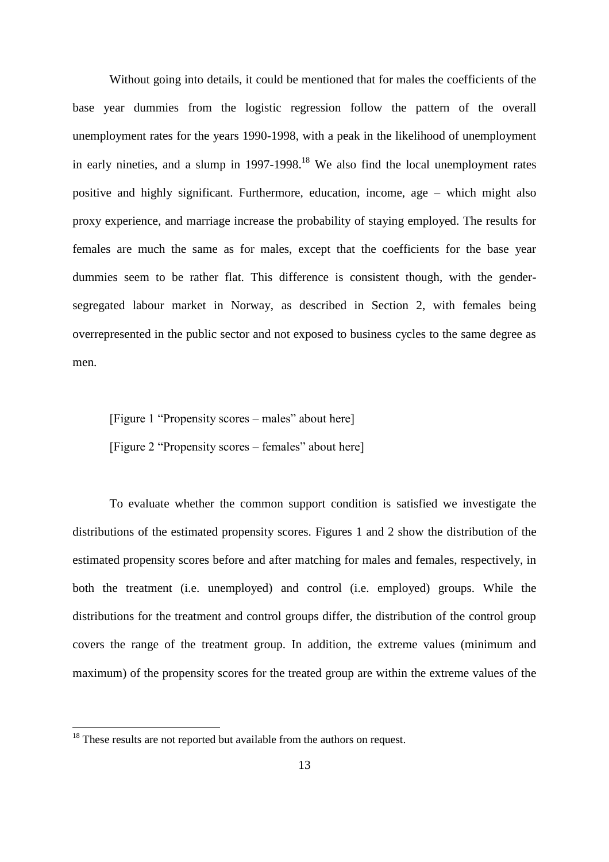Without going into details, it could be mentioned that for males the coefficients of the base year dummies from the logistic regression follow the pattern of the overall unemployment rates for the years 1990-1998, with a peak in the likelihood of unemployment in early nineties, and a slump in  $1997-1998$ <sup>18</sup> We also find the local unemployment rates positive and highly significant. Furthermore, education, income, age – which might also proxy experience, and marriage increase the probability of staying employed. The results for females are much the same as for males, except that the coefficients for the base year dummies seem to be rather flat. This difference is consistent though, with the gendersegregated labour market in Norway, as described in Section 2, with females being overrepresented in the public sector and not exposed to business cycles to the same degree as men.

[Figure 1 "Propensity scores – males" about here] [Figure 2 "Propensity scores – females" about here]

To evaluate whether the common support condition is satisfied we investigate the distributions of the estimated propensity scores. Figures 1 and 2 show the distribution of the estimated propensity scores before and after matching for males and females, respectively, in both the treatment (i.e. unemployed) and control (i.e. employed) groups. While the distributions for the treatment and control groups differ, the distribution of the control group covers the range of the treatment group. In addition, the extreme values (minimum and maximum) of the propensity scores for the treated group are within the extreme values of the

 $\overline{a}$ 

 $18$  These results are not reported but available from the authors on request.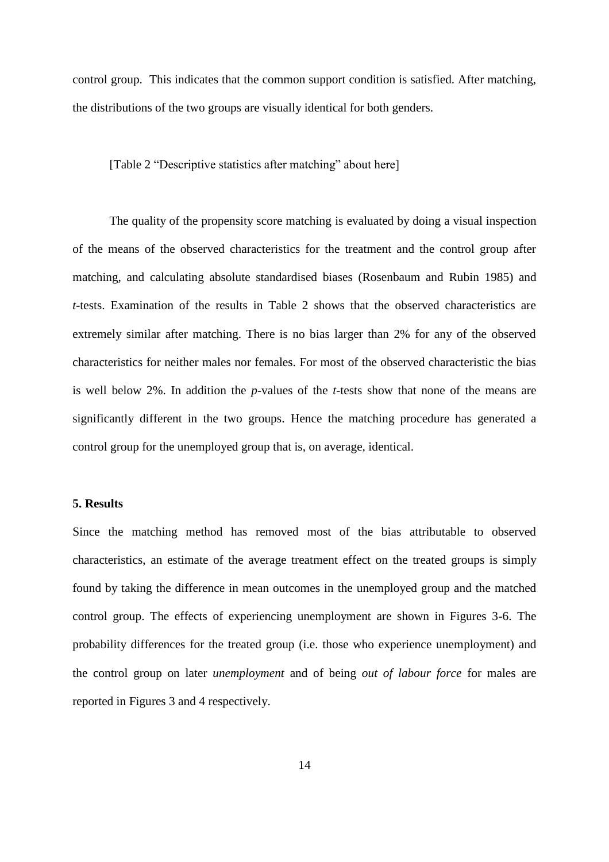control group. This indicates that the common support condition is satisfied. After matching, the distributions of the two groups are visually identical for both genders.

[Table 2 "Descriptive statistics after matching" about here]

The quality of the propensity score matching is evaluated by doing a visual inspection of the means of the observed characteristics for the treatment and the control group after matching, and calculating absolute standardised biases (Rosenbaum and Rubin 1985) and *t*-tests. Examination of the results in Table 2 shows that the observed characteristics are extremely similar after matching. There is no bias larger than 2% for any of the observed characteristics for neither males nor females. For most of the observed characteristic the bias is well below 2%. In addition the *p*-values of the *t*-tests show that none of the means are significantly different in the two groups. Hence the matching procedure has generated a control group for the unemployed group that is, on average, identical.

#### **5. Results**

Since the matching method has removed most of the bias attributable to observed characteristics, an estimate of the average treatment effect on the treated groups is simply found by taking the difference in mean outcomes in the unemployed group and the matched control group. The effects of experiencing unemployment are shown in Figures 3-6. The probability differences for the treated group (i.e. those who experience unemployment) and the control group on later *unemployment* and of being *out of labour force* for males are reported in Figures 3 and 4 respectively.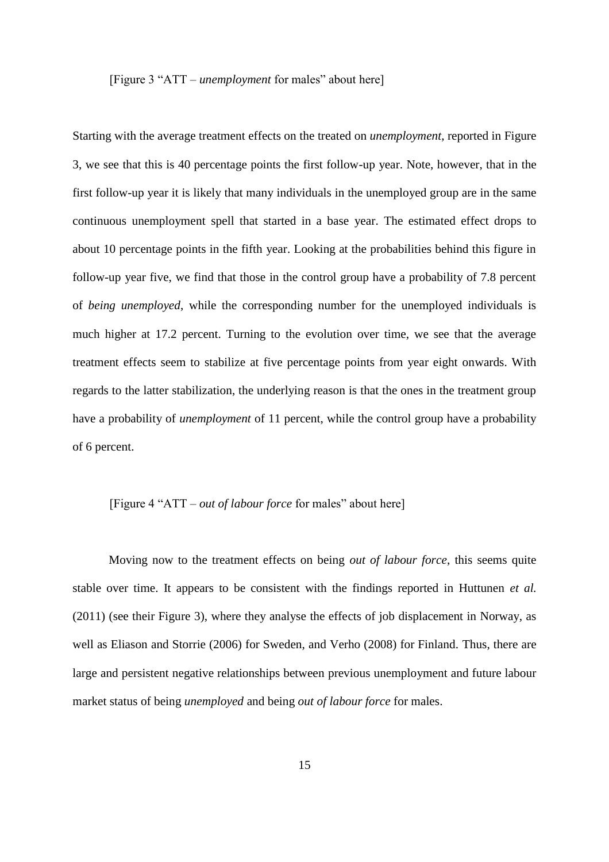[Figure 3 "ATT – *unemployment* for males" about here]

Starting with the average treatment effects on the treated on *unemployment*, reported in Figure 3, we see that this is 40 percentage points the first follow-up year. Note, however, that in the first follow-up year it is likely that many individuals in the unemployed group are in the same continuous unemployment spell that started in a base year. The estimated effect drops to about 10 percentage points in the fifth year. Looking at the probabilities behind this figure in follow-up year five, we find that those in the control group have a probability of 7.8 percent of *being unemployed*, while the corresponding number for the unemployed individuals is much higher at 17.2 percent. Turning to the evolution over time, we see that the average treatment effects seem to stabilize at five percentage points from year eight onwards. With regards to the latter stabilization, the underlying reason is that the ones in the treatment group have a probability of *unemployment* of 11 percent, while the control group have a probability of 6 percent.

## [Figure 4 "ATT – *out of labour force* for males" about here]

Moving now to the treatment effects on being *out of labour force*, this seems quite stable over time. It appears to be consistent with the findings reported in Huttunen *et al.* (2011) (see their Figure 3), where they analyse the effects of job displacement in Norway, as well as Eliason and Storrie (2006) for Sweden, and Verho (2008) for Finland. Thus, there are large and persistent negative relationships between previous unemployment and future labour market status of being *unemployed* and being *out of labour force* for males.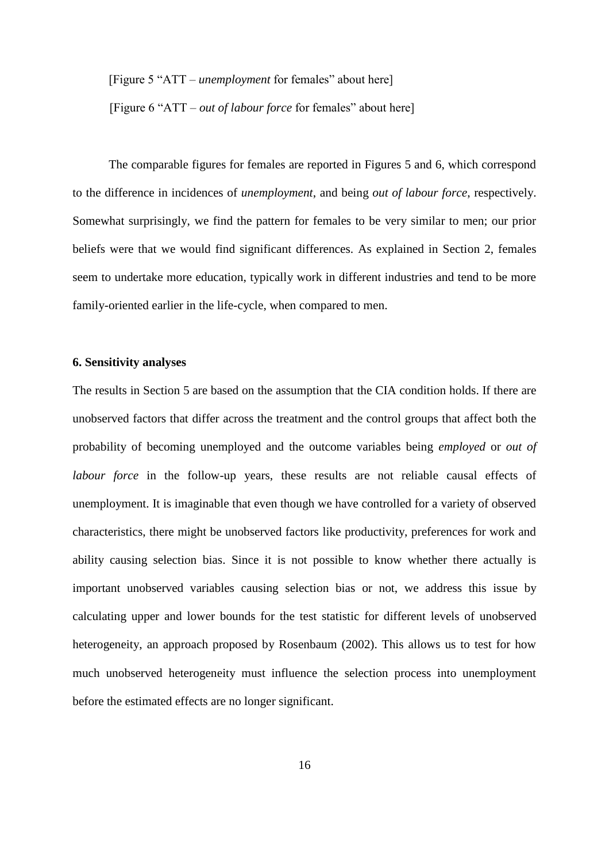[Figure 5 "ATT – *unemployment* for females" about here]

[Figure 6 "ATT – *out of labour force* for females" about here]

The comparable figures for females are reported in Figures 5 and 6, which correspond to the difference in incidences of *unemployment*, and being *out of labour force*, respectively. Somewhat surprisingly, we find the pattern for females to be very similar to men; our prior beliefs were that we would find significant differences. As explained in Section 2, females seem to undertake more education, typically work in different industries and tend to be more family-oriented earlier in the life-cycle, when compared to men.

#### **6. Sensitivity analyses**

The results in Section 5 are based on the assumption that the CIA condition holds. If there are unobserved factors that differ across the treatment and the control groups that affect both the probability of becoming unemployed and the outcome variables being *employed* or *out of labour force* in the follow-up years, these results are not reliable causal effects of unemployment. It is imaginable that even though we have controlled for a variety of observed characteristics, there might be unobserved factors like productivity, preferences for work and ability causing selection bias. Since it is not possible to know whether there actually is important unobserved variables causing selection bias or not, we address this issue by calculating upper and lower bounds for the test statistic for different levels of unobserved heterogeneity, an approach proposed by Rosenbaum (2002). This allows us to test for how much unobserved heterogeneity must influence the selection process into unemployment before the estimated effects are no longer significant.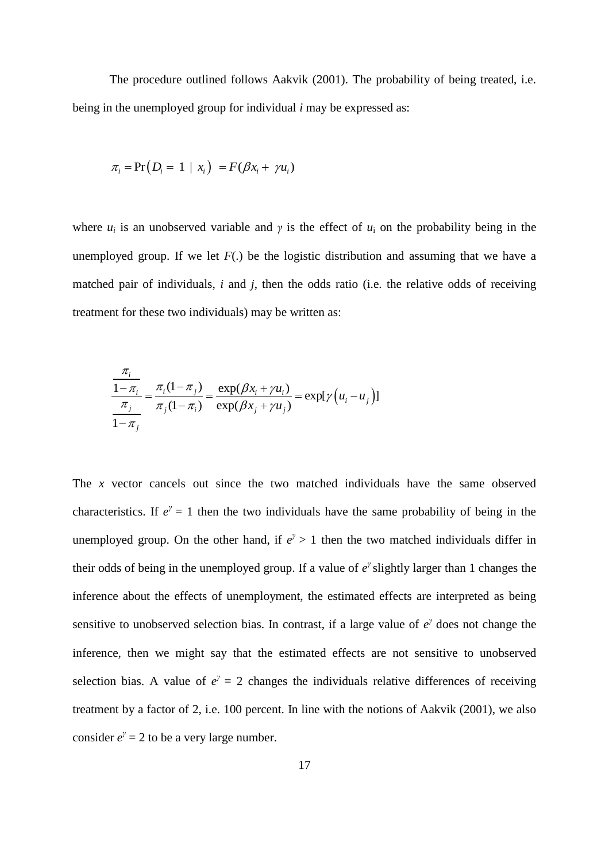The procedure outlined follows Aakvik (2001). The probability of being treated, i.e. being in the unemployed group for individual *i* may be expressed as:

$$
\pi_i = \Pr(D_i = 1 \mid x_i) = F(\beta x_i + \gamma u_i)
$$

where  $u_i$  is an unobserved variable and  $\gamma$  is the effect of  $u_i$  on the probability being in the unemployed group. If we let  $F(.)$  be the logistic distribution and assuming that we have a matched pair of individuals, *i* and *j*, then the odds ratio (i.e. the relative odds of receiving treatment for these two individuals) may be written as:

$$
\frac{\frac{\pi_i}{1 - \pi_i}}{\frac{\pi_j}{1 - \pi_j}} = \frac{\pi_i (1 - \pi_j)}{\pi_j (1 - \pi_i)} = \frac{\exp(\beta x_i + \gamma u_i)}{\exp(\beta x_j + \gamma u_j)} = \exp[\gamma (u_i - u_j)]
$$

The *x* vector cancels out since the two matched individuals have the same observed characteristics. If  $e^{\gamma} = 1$  then the two individuals have the same probability of being in the unemployed group. On the other hand, if  $e^{\gamma} > 1$  then the two matched individuals differ in their odds of being in the unemployed group. If a value of  $e^{\gamma}$  slightly larger than 1 changes the inference about the effects of unemployment, the estimated effects are interpreted as being sensitive to unobserved selection bias. In contrast, if a large value of  $e^{\gamma}$  does not change the inference, then we might say that the estimated effects are not sensitive to unobserved selection bias. A value of  $e^y = 2$  changes the individuals relative differences of receiving treatment by a factor of 2, i.e. 100 percent. In line with the notions of Aakvik (2001), we also consider  $e^{\gamma} = 2$  to be a very large number.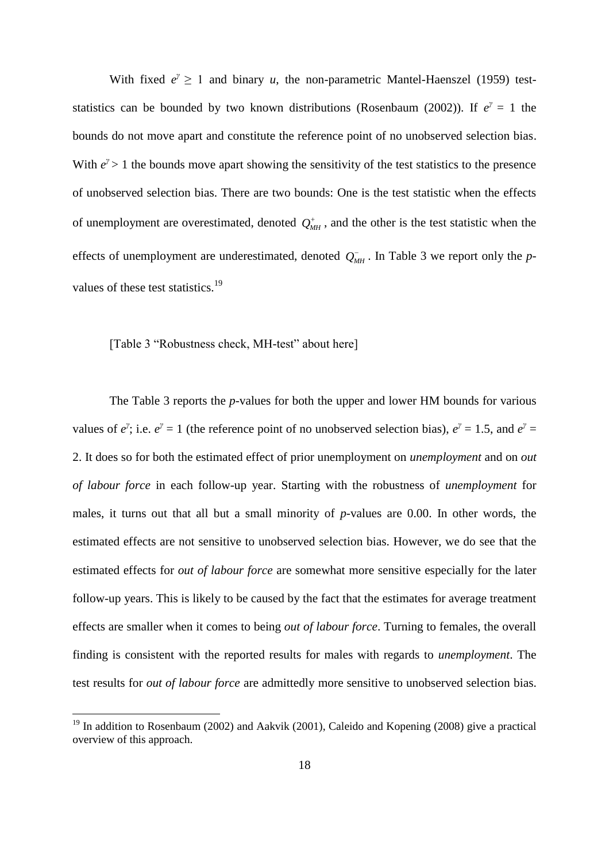With fixed  $e^{\gamma} \ge 1$  and binary *u*, the non-parametric Mantel-Haenszel (1959) teststatistics can be bounded by two known distributions (Rosenbaum (2002)). If  $e^{\gamma} = 1$  the bounds do not move apart and constitute the reference point of no unobserved selection bias. With  $e^{\gamma}$  > 1 the bounds move apart showing the sensitivity of the test statistics to the presence of unobserved selection bias. There are two bounds: One is the test statistic when the effects of unemployment are overestimated, denoted  $Q_{MH}^+$ , and the other is the test statistic when the effects of unemployment are underestimated, denoted  $Q_{MH}^-$ . In Table 3 we report only the *p*values of these test statistics.<sup>19</sup>

[Table 3 "Robustness check, MH-test" about here]

 $\overline{a}$ 

The Table 3 reports the *p*-values for both the upper and lower HM bounds for various values of  $e^{\gamma}$ ; i.e.  $e^{\gamma} = 1$  (the reference point of no unobserved selection bias),  $e^{\gamma} = 1.5$ , and  $e^{\gamma} = 1$ 2. It does so for both the estimated effect of prior unemployment on *unemployment* and on *out of labour force* in each follow-up year. Starting with the robustness of *unemployment* for males, it turns out that all but a small minority of *p*-values are 0.00. In other words, the estimated effects are not sensitive to unobserved selection bias. However, we do see that the estimated effects for *out of labour force* are somewhat more sensitive especially for the later follow-up years. This is likely to be caused by the fact that the estimates for average treatment effects are smaller when it comes to being *out of labour force*. Turning to females, the overall finding is consistent with the reported results for males with regards to *unemployment*. The test results for *out of labour force* are admittedly more sensitive to unobserved selection bias.

 $19$  In addition to Rosenbaum (2002) and Aakvik (2001), Caleido and Kopening (2008) give a practical overview of this approach.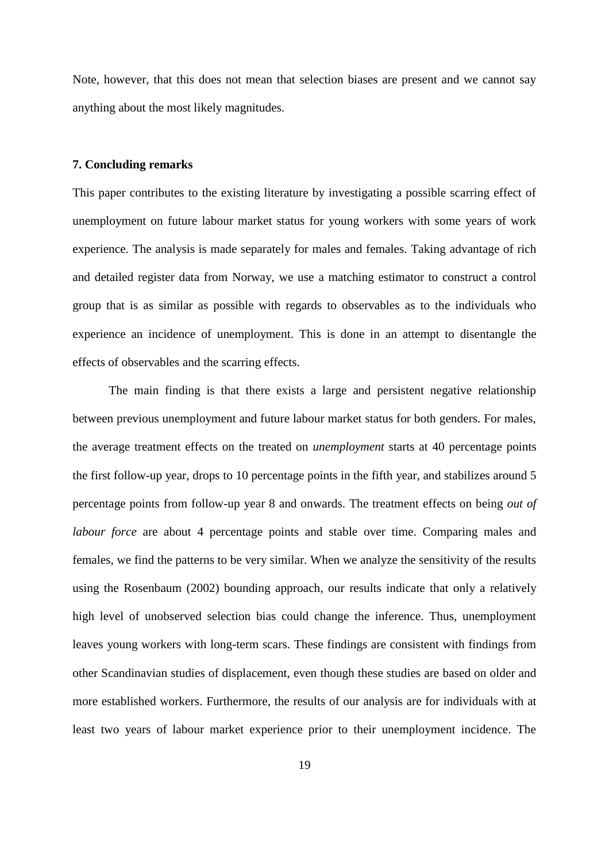Note, however, that this does not mean that selection biases are present and we cannot say anything about the most likely magnitudes.

### **7. Concluding remarks**

This paper contributes to the existing literature by investigating a possible scarring effect of unemployment on future labour market status for young workers with some years of work experience. The analysis is made separately for males and females. Taking advantage of rich and detailed register data from Norway, we use a matching estimator to construct a control group that is as similar as possible with regards to observables as to the individuals who experience an incidence of unemployment. This is done in an attempt to disentangle the effects of observables and the scarring effects.

The main finding is that there exists a large and persistent negative relationship between previous unemployment and future labour market status for both genders. For males, the average treatment effects on the treated on *unemployment* starts at 40 percentage points the first follow-up year, drops to 10 percentage points in the fifth year, and stabilizes around 5 percentage points from follow-up year 8 and onwards. The treatment effects on being *out of labour force* are about 4 percentage points and stable over time. Comparing males and females, we find the patterns to be very similar. When we analyze the sensitivity of the results using the Rosenbaum (2002) bounding approach, our results indicate that only a relatively high level of unobserved selection bias could change the inference. Thus, unemployment leaves young workers with long-term scars. These findings are consistent with findings from other Scandinavian studies of displacement, even though these studies are based on older and more established workers. Furthermore, the results of our analysis are for individuals with at least two years of labour market experience prior to their unemployment incidence. The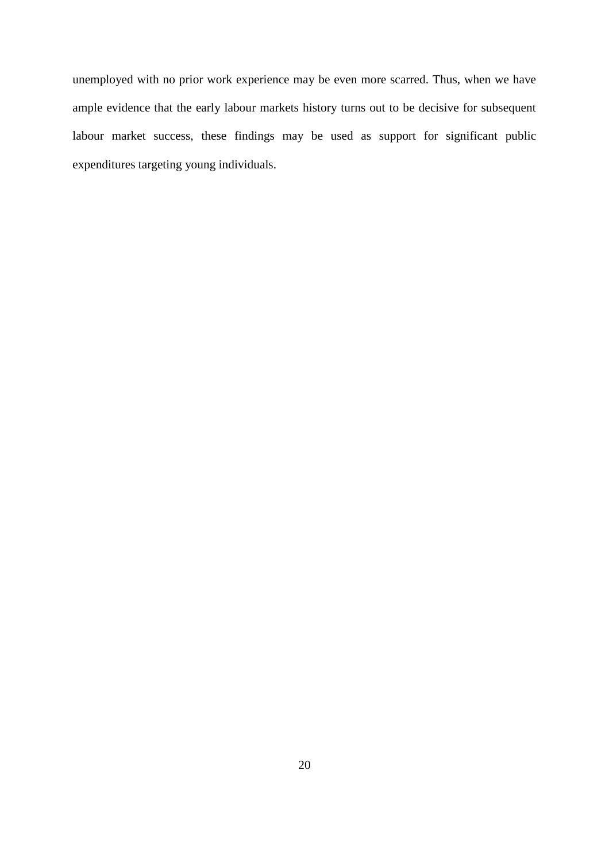unemployed with no prior work experience may be even more scarred. Thus, when we have ample evidence that the early labour markets history turns out to be decisive for subsequent labour market success, these findings may be used as support for significant public expenditures targeting young individuals.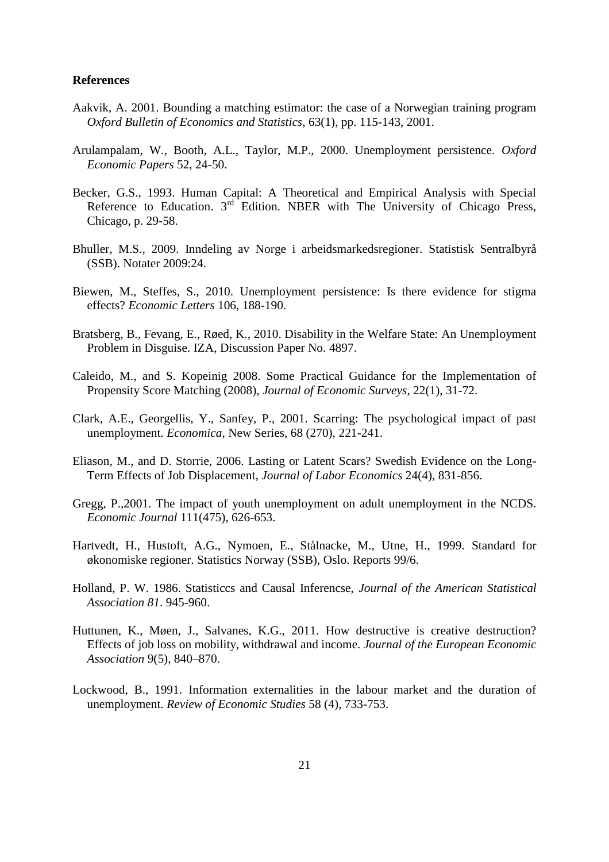#### **References**

- Aakvik, A. 2001. [Bounding a matching estimator: the case of a Norwegian training program](http://folk.uib.no/secaa/Public/Publications/aakvik_oxbes_2001.pdf) *Oxford Bulletin of Economics and Statistics*, 63(1), pp. 115-143, 2001.
- Arulampalam, W., Booth, A.L., Taylor, M.P., 2000. Unemployment persistence. *Oxford Economic Papers* 52, 24-50.
- Becker, G.S., 1993. Human Capital: A Theoretical and Empirical Analysis with Special Reference to Education. 3<sup>rd</sup> Edition. NBER with The University of Chicago Press, Chicago, p. 29-58.
- Bhuller, M.S., 2009. Inndeling av Norge i arbeidsmarkedsregioner. Statistisk Sentralbyrå (SSB). Notater 2009:24.
- Biewen, M., Steffes, S., 2010. Unemployment persistence: Is there evidence for stigma effects? *Economic Letters* 106, 188-190.
- Bratsberg, B., Fevang, E., Røed, K., 2010. Disability in the Welfare State: An Unemployment Problem in Disguise. IZA, Discussion Paper No. 4897.
- Caleido, M., and S. Kopeinig 2008. Some Practical Guidance for the Implementation of Propensity Score Matching (2008), *Journal of Economic Surveys*, 22(1), 31-72.
- Clark, A.E., Georgellis, Y., Sanfey, P., 2001. Scarring: The psychological impact of past unemployment. *Economica*, New Series, 68 (270), 221-241.
- Eliason, M., and D. Storrie, 2006. Lasting or Latent Scars? Swedish Evidence on the Long-Term Effects of Job Displacement, *Journal of Labor Economics* 24(4), 831-856.
- Gregg, P.,2001. The impact of youth unemployment on adult unemployment in the NCDS. *Economic Journal* 111(475), 626-653.
- Hartvedt, H., Hustoft, A.G., Nymoen, E., Stålnacke, M., Utne, H., 1999. Standard for økonomiske regioner. Statistics Norway (SSB), Oslo. Reports 99/6.
- Holland, P. W. 1986. Statisticcs and Causal Inferencse, *Journal of the American Statistical Association 81*. 945-960.
- Huttunen, K., Møen, J., Salvanes, K.G., 2011. How destructive is creative destruction? Effects of job loss on mobility, withdrawal and income. *Journal of the European Economic Association* 9(5), 840–870.
- Lockwood, B., 1991. Information externalities in the labour market and the duration of unemployment. *Review of Economic Studies* 58 (4), 733-753.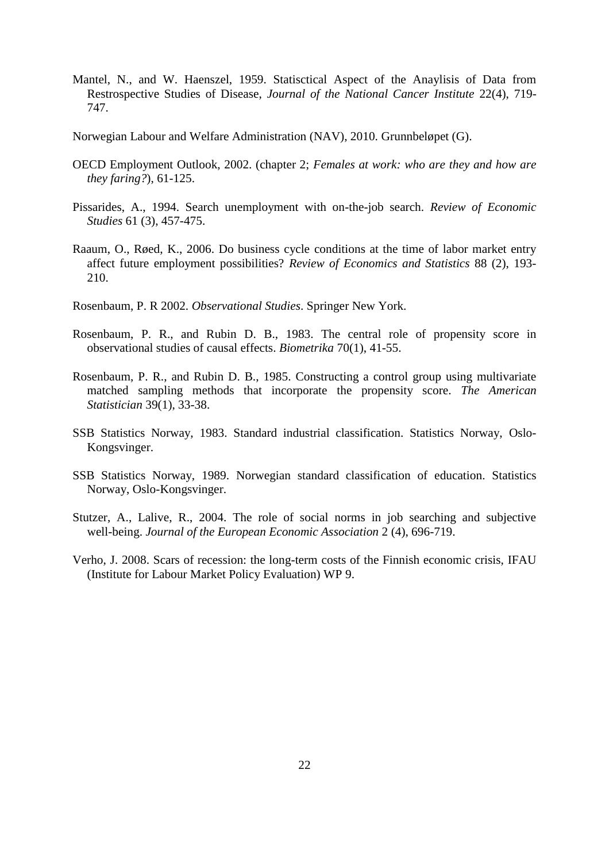- Mantel, N., and W. Haenszel, 1959. Statisctical Aspect of the Anaylisis of Data from Restrospective Studies of Disease, *Journal of the National Cancer Institute* 22(4), 719- 747.
- Norwegian Labour and Welfare Administration (NAV), 2010. Grunnbeløpet (G).
- OECD Employment Outlook, 2002. (chapter 2; *Females at work: who are they and how are they faring?*), 61-125.
- Pissarides, A., 1994. Search unemployment with on-the-job search. *Review of Economic Studies* 61 (3), 457-475.
- Raaum, O., Røed, K., 2006. Do business cycle conditions at the time of labor market entry affect future employment possibilities? *Review of Economics and Statistics* 88 (2), 193- 210.
- Rosenbaum, P. R 2002. *Observational Studies*. Springer New York.
- Rosenbaum, P. R., and Rubin D. B., 1983. The central role of propensity score in observational studies of causal effects. *Biometrika* 70(1), 41-55.
- Rosenbaum, P. R., and Rubin D. B., 1985. Constructing a control group using multivariate matched sampling methods that incorporate the propensity score. *The American Statistician* 39(1), 33-38.
- SSB Statistics Norway, 1983. Standard industrial classification. Statistics Norway, Oslo-Kongsvinger.
- SSB Statistics Norway, 1989. Norwegian standard classification of education. Statistics Norway, Oslo-Kongsvinger.
- Stutzer, A., Lalive, R., 2004. The role of social norms in job searching and subjective well-being. *Journal of the European Economic Association* 2 (4), 696-719.
- Verho, J. 2008. Scars of recession: the long-term costs of the Finnish economic crisis, IFAU (Institute for Labour Market Policy Evaluation) WP 9.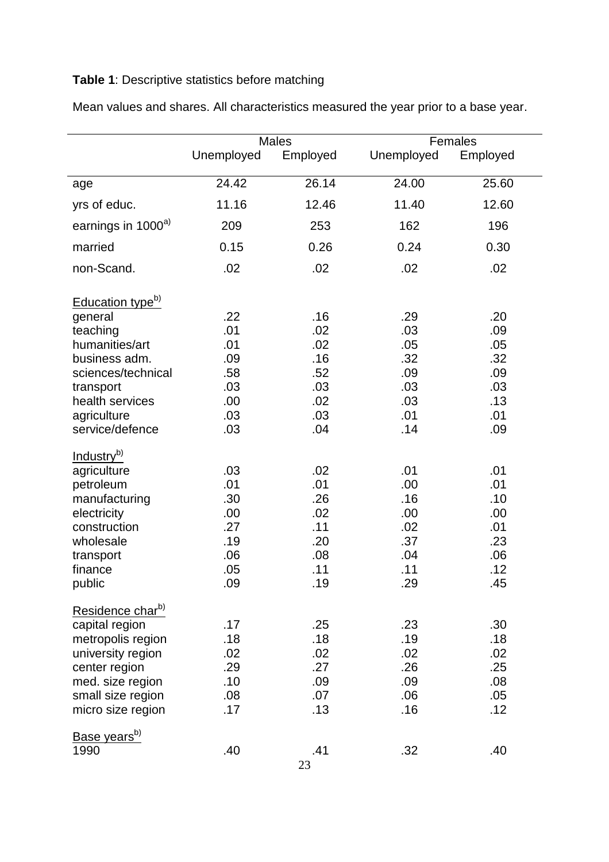## **Table 1**: Descriptive statistics before matching

|                                                                                                                                                                                |                                                             | <b>Males</b>                                                | Females                                                     |                                                             |  |  |
|--------------------------------------------------------------------------------------------------------------------------------------------------------------------------------|-------------------------------------------------------------|-------------------------------------------------------------|-------------------------------------------------------------|-------------------------------------------------------------|--|--|
|                                                                                                                                                                                | Unemployed                                                  | Employed                                                    | Unemployed                                                  | Employed                                                    |  |  |
| age                                                                                                                                                                            | 24.42                                                       | 26.14                                                       | 24.00                                                       | 25.60                                                       |  |  |
| yrs of educ.                                                                                                                                                                   | 11.16                                                       | 12.46                                                       | 11.40                                                       | 12.60                                                       |  |  |
| earnings in 1000 <sup>a)</sup>                                                                                                                                                 | 209                                                         | 253                                                         | 162                                                         | 196                                                         |  |  |
| married                                                                                                                                                                        | 0.15                                                        | 0.26                                                        | 0.24                                                        | 0.30                                                        |  |  |
| non-Scand.                                                                                                                                                                     | .02                                                         | .02                                                         | .02                                                         | .02                                                         |  |  |
| Education type <sup>b)</sup><br>general<br>teaching<br>humanities/art<br>business adm.<br>sciences/technical<br>transport<br>health services<br>agriculture<br>service/defence | .22<br>.01<br>.01<br>.09<br>.58<br>.03<br>.00<br>.03<br>.03 | .16<br>.02<br>.02<br>.16<br>.52<br>.03<br>.02<br>.03<br>.04 | .29<br>.03<br>.05<br>.32<br>.09<br>.03<br>.03<br>.01<br>.14 | .20<br>.09<br>.05<br>.32<br>.09<br>.03<br>.13<br>.01<br>.09 |  |  |
| Industry <sup>b)</sup><br>agriculture<br>petroleum<br>manufacturing<br>electricity<br>construction<br>wholesale<br>transport<br>finance<br>public                              | .03<br>.01<br>.30<br>.00<br>.27<br>.19<br>.06<br>.05<br>.09 | .02<br>.01<br>.26<br>.02<br>.11<br>.20<br>.08<br>.11<br>19  | .01<br>.00<br>.16<br>.00.<br>.02<br>.37<br>.04<br>.11<br>29 | .01<br>.01<br>.10<br>.00<br>.01<br>.23<br>.06<br>.12<br>45  |  |  |
| Residence char <sup>b)</sup><br>capital region<br>metropolis region<br>university region<br>center region<br>med. size region<br>small size region<br>micro size region        | .17<br>.18<br>.02<br>.29<br>.10<br>.08<br>.17               | .25<br>.18<br>.02<br>.27<br>.09<br>.07<br>.13               | .23<br>.19<br>.02<br>.26<br>.09<br>.06<br>.16               | .30<br>.18<br>.02<br>.25<br>.08<br>.05<br>.12               |  |  |
| Base years <sup>b)</sup><br>1990                                                                                                                                               | .40                                                         | .41                                                         | .32                                                         | .40                                                         |  |  |

Mean values and shares. All characteristics measured the year prior to a base year.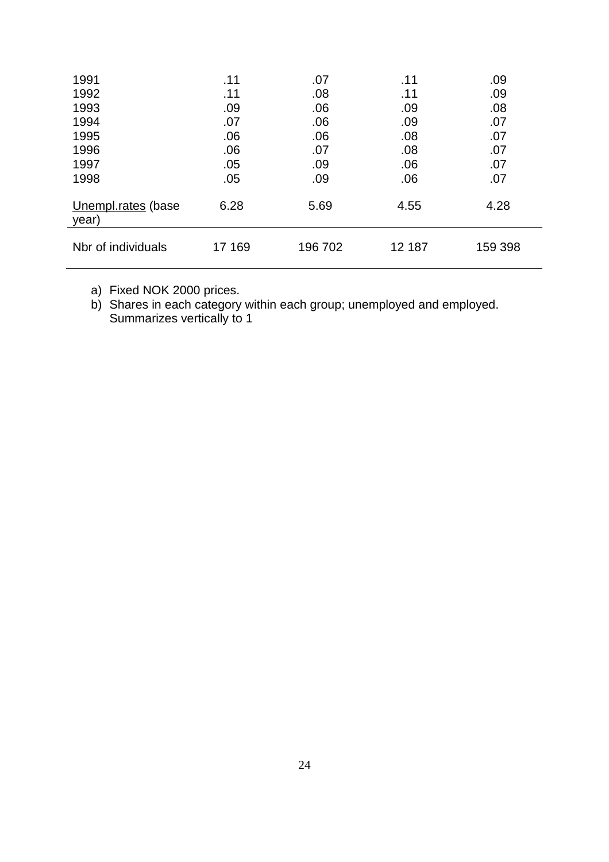| 1991                        | .11    | .07     | .11    | .09     |
|-----------------------------|--------|---------|--------|---------|
| 1992                        | .11    | .08     | .11    | .09     |
| 1993                        | .09    | .06     | .09    | .08     |
| 1994                        | .07    | .06     | .09    | .07     |
| 1995                        | .06    | .06     | .08    | .07     |
| 1996                        | .06    | .07     | .08    | .07     |
| 1997                        | .05    | .09     | .06    | .07     |
| 1998                        | .05    | .09     | .06    | .07     |
| Unempl.rates (base<br>year) | 6.28   | 5.69    | 4.55   | 4.28    |
| Nbr of individuals          | 17 169 | 196 702 | 12 187 | 159 398 |

a) Fixed NOK 2000 prices.

b) Shares in each category within each group; unemployed and employed. Summarizes vertically to 1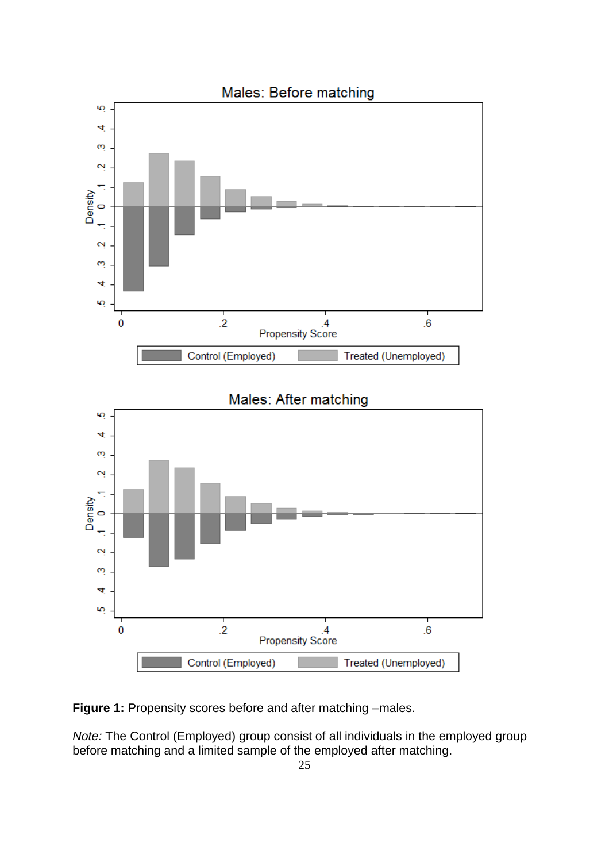

**Figure 1:** Propensity scores before and after matching –males.

*Note:* The Control (Employed) group consist of all individuals in the employed group before matching and a limited sample of the employed after matching.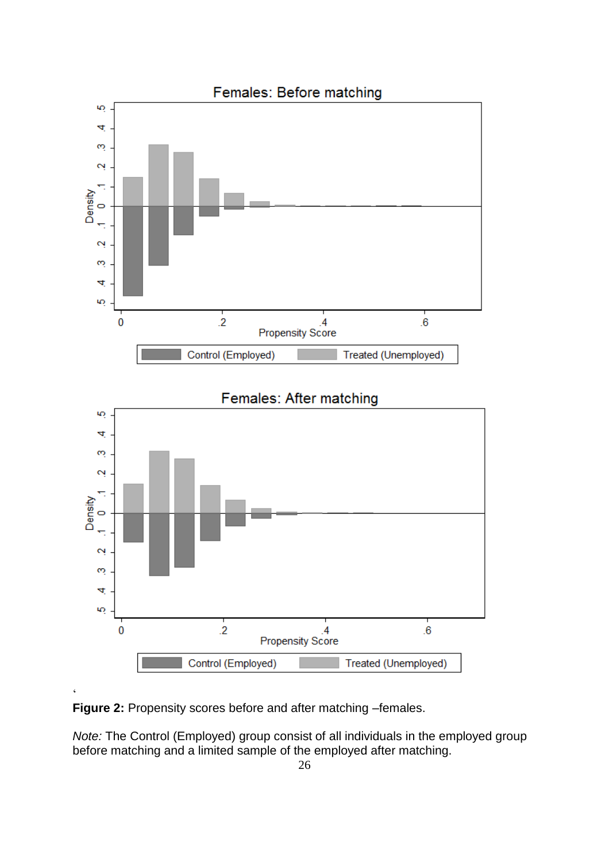

**Figure 2:** Propensity scores before and after matching –females.

*Note:* The Control (Employed) group consist of all individuals in the employed group before matching and a limited sample of the employed after matching.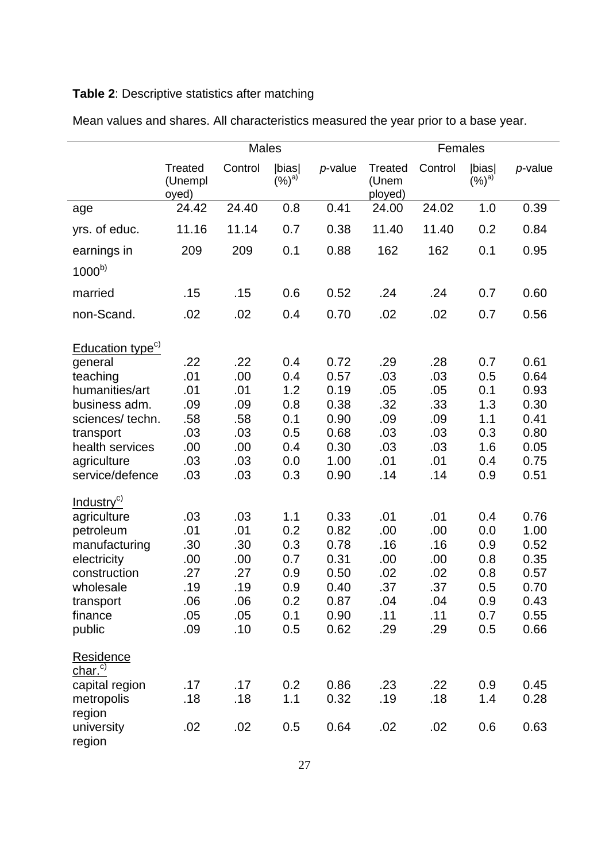## **Table 2**: Descriptive statistics after matching

|                                                                                                                                                                                                                                   | <b>Males</b>                                                              |                                                                           |                                                                           |                                                                                      | Females                                                                   |                                                                           |                                                                           |                                                                                      |
|-----------------------------------------------------------------------------------------------------------------------------------------------------------------------------------------------------------------------------------|---------------------------------------------------------------------------|---------------------------------------------------------------------------|---------------------------------------------------------------------------|--------------------------------------------------------------------------------------|---------------------------------------------------------------------------|---------------------------------------------------------------------------|---------------------------------------------------------------------------|--------------------------------------------------------------------------------------|
|                                                                                                                                                                                                                                   | Treated<br>(Unempl<br>oyed)                                               | Control                                                                   | bias <br>$(%)^{\text{a}}$                                                 | p-value                                                                              | <b>Treated</b><br>(Unem<br>ployed)                                        | Control                                                                   | bias <br>$(%)^{\text{a}}$                                                 | p-value                                                                              |
| age                                                                                                                                                                                                                               | 24.42                                                                     | 24.40                                                                     | 0.8                                                                       | 0.41                                                                                 | 24.00                                                                     | 24.02                                                                     | 1.0                                                                       | 0.39                                                                                 |
| yrs. of educ.                                                                                                                                                                                                                     | 11.16                                                                     | 11.14                                                                     | 0.7                                                                       | 0.38                                                                                 | 11.40                                                                     | 11.40                                                                     | 0.2                                                                       | 0.84                                                                                 |
| earnings in                                                                                                                                                                                                                       | 209                                                                       | 209                                                                       | 0.1                                                                       | 0.88                                                                                 | 162                                                                       | 162                                                                       | 0.1                                                                       | 0.95                                                                                 |
| $1000^{b}$                                                                                                                                                                                                                        |                                                                           |                                                                           |                                                                           |                                                                                      |                                                                           |                                                                           |                                                                           |                                                                                      |
| married                                                                                                                                                                                                                           | .15                                                                       | .15                                                                       | 0.6                                                                       | 0.52                                                                                 | .24                                                                       | .24                                                                       | 0.7                                                                       | 0.60                                                                                 |
| non-Scand.                                                                                                                                                                                                                        | .02                                                                       | .02                                                                       | 0.4                                                                       | 0.70                                                                                 | .02                                                                       | .02                                                                       | 0.7                                                                       | 0.56                                                                                 |
| Education type <sup>c)</sup><br>general<br>teaching<br>humanities/art<br>business adm.<br>sciences/techn.<br>transport<br>health services<br>agriculture<br>service/defence<br>Industry <sup>c)</sup><br>agriculture<br>petroleum | .22<br>.01<br>.01<br>.09<br>.58<br>.03<br>.00<br>.03<br>.03<br>.03<br>.01 | .22<br>.00<br>.01<br>.09<br>.58<br>.03<br>.00<br>.03<br>.03<br>.03<br>.01 | 0.4<br>0.4<br>1.2<br>0.8<br>0.1<br>0.5<br>0.4<br>0.0<br>0.3<br>1.1<br>0.2 | 0.72<br>0.57<br>0.19<br>0.38<br>0.90<br>0.68<br>0.30<br>1.00<br>0.90<br>0.33<br>0.82 | .29<br>.03<br>.05<br>.32<br>.09<br>.03<br>.03<br>.01<br>.14<br>.01<br>.00 | .28<br>.03<br>.05<br>.33<br>.09<br>.03<br>.03<br>.01<br>.14<br>.01<br>.00 | 0.7<br>0.5<br>0.1<br>1.3<br>1.1<br>0.3<br>1.6<br>0.4<br>0.9<br>0.4<br>0.0 | 0.61<br>0.64<br>0.93<br>0.30<br>0.41<br>0.80<br>0.05<br>0.75<br>0.51<br>0.76<br>1.00 |
| manufacturing<br>electricity<br>construction<br>wholesale<br>transport<br>finance<br>public                                                                                                                                       | .30<br>.00<br>.27<br>.19<br>.06<br>.05<br>.09                             | .30<br>.00<br>.27<br>.19<br>.06<br>.05<br>.10                             | 0.3<br>0.7<br>0.9<br>0.9<br>0.2<br>0.1<br>0.5                             | 0.78<br>0.31<br>0.50<br>0.40<br>0.87<br>0.90<br>0.62                                 | .16<br>.00<br>.02<br>.37<br>.04<br>.11<br>.29                             | .16<br>.00<br>.02<br>.37<br>.04<br>.11<br>.29                             | 0.9<br>0.8<br>0.8<br>0.5<br>0.9<br>0.7<br>0.5                             | 0.52<br>0.35<br>0.57<br>0.70<br>0.43<br>0.55<br>0.66                                 |
| Residence<br>char. <sup>c)</sup><br>capital region<br>metropolis<br>region                                                                                                                                                        | .17<br>.18                                                                | .17<br>.18                                                                | 0.2<br>1.1                                                                | 0.86<br>0.32                                                                         | .23<br>.19                                                                | .22<br>.18                                                                | 0.9<br>1.4                                                                | 0.45<br>0.28                                                                         |
| university<br>region                                                                                                                                                                                                              | .02                                                                       | .02                                                                       | 0.5                                                                       | 0.64                                                                                 | .02                                                                       | .02                                                                       | 0.6                                                                       | 0.63                                                                                 |

Mean values and shares. All characteristics measured the year prior to a base year.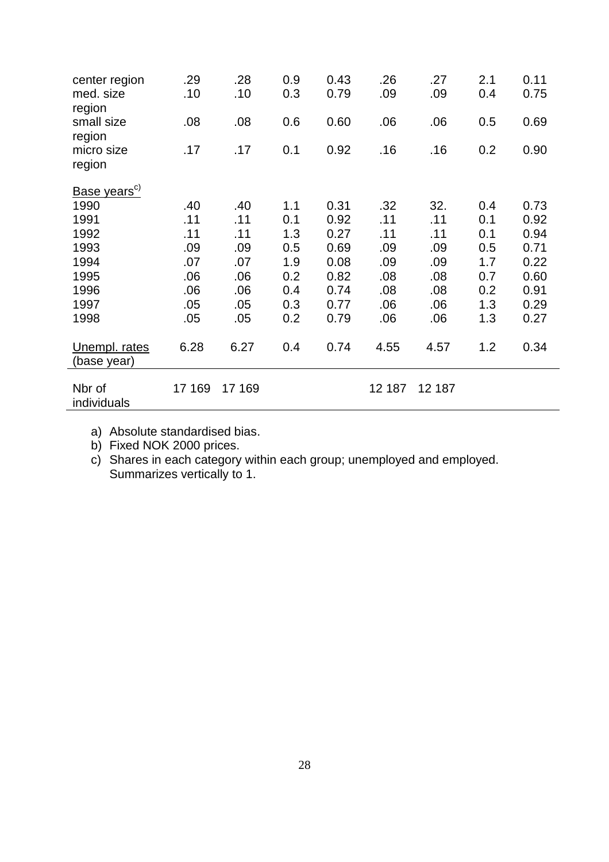| center region<br>med. size     | .29<br>.10 | .28<br>.10 | 0.9<br>0.3 | 0.43<br>0.79 | .26<br>.09 | .27<br>.09 | 2.1<br>0.4 | 0.11<br>0.75 |
|--------------------------------|------------|------------|------------|--------------|------------|------------|------------|--------------|
| region<br>small size<br>region | .08        | .08        | 0.6        | 0.60         | .06        | .06        | 0.5        | 0.69         |
| micro size<br>region           | .17        | .17        | 0.1        | 0.92         | .16        | .16        | 0.2        | 0.90         |
| Base years <sup>c)</sup>       |            |            |            |              |            |            |            |              |
| 1990                           | .40        | .40        | 1.1        | 0.31         | .32        | 32.        | 0.4        | 0.73         |
| 1991                           | .11        | .11        | 0.1        | 0.92         | .11        | .11        | 0.1        | 0.92         |
| 1992                           | .11        | .11        | 1.3        | 0.27         | .11        | .11        | 0.1        | 0.94         |
| 1993                           | .09        | .09        | 0.5        | 0.69         | .09        | .09        | 0.5        | 0.71         |
| 1994                           | .07        | .07        | 1.9        | 0.08         | .09        | .09        | 1.7        | 0.22         |
| 1995                           | .06        | .06        | 0.2        | 0.82         | .08        | .08        | 0.7        | 0.60         |
| 1996                           | .06        | .06        | 0.4        | 0.74         | .08        | .08        | 0.2        | 0.91         |
| 1997                           | .05        | .05        | 0.3        | 0.77         | .06        | .06        | 1.3        | 0.29         |
| 1998                           | .05        | .05        | 0.2        | 0.79         | .06        | .06        | 1.3        | 0.27         |
| Unempl. rates<br>(base year)   | 6.28       | 6.27       | 0.4        | 0.74         | 4.55       | 4.57       | 1.2        | 0.34         |
| Nbr of<br>individuals          | 17 169     | 17 169     |            |              | 12 187     | 12 187     |            |              |

a) Absolute standardised bias.

b) Fixed NOK 2000 prices.

c) Shares in each category within each group; unemployed and employed. Summarizes vertically to 1.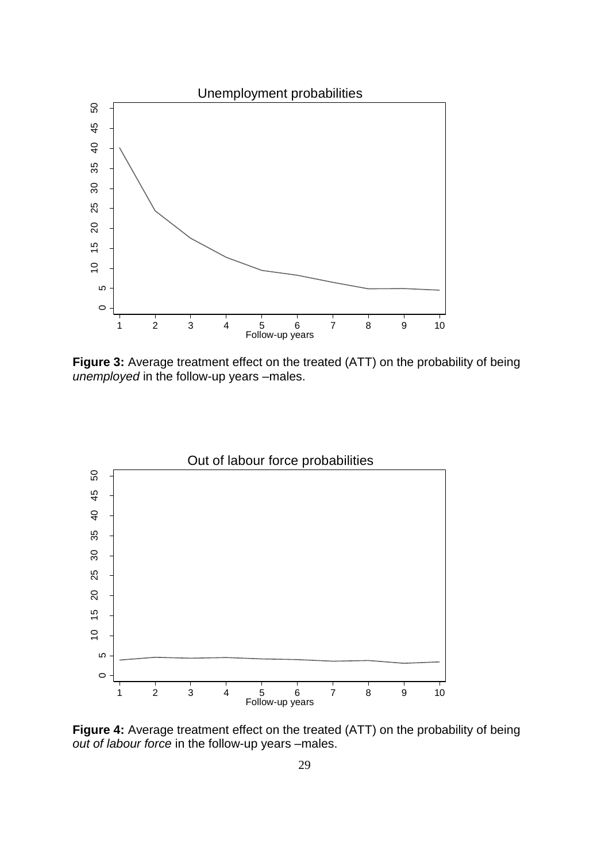

**Figure 3:** Average treatment effect on the treated (ATT) on the probability of being *unemployed* in the follow-up years –males.



**Figure 4:** Average treatment effect on the treated (ATT) on the probability of being *out of labour force* in the follow-up years –males.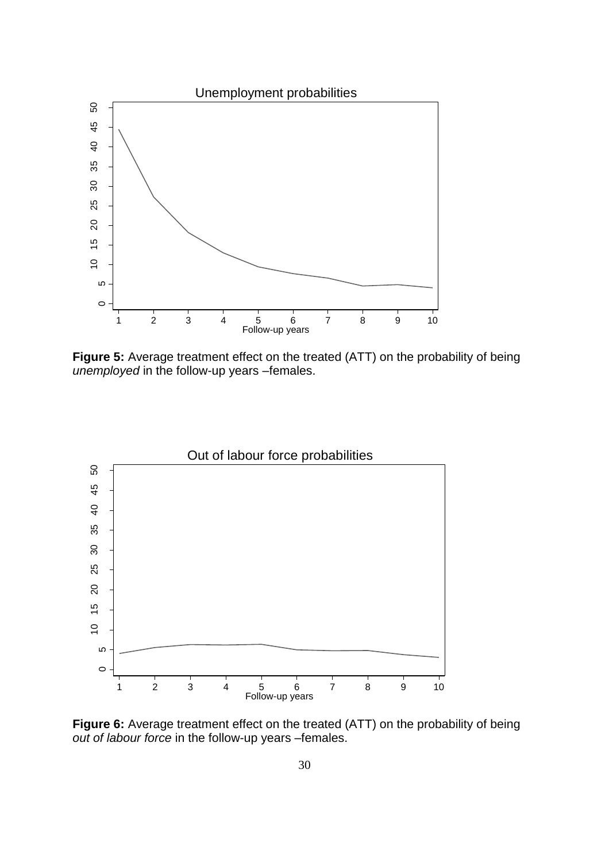

**Figure 5:** Average treatment effect on the treated (ATT) on the probability of being *unemployed* in the follow-up years –females.



**Figure 6:** Average treatment effect on the treated (ATT) on the probability of being *out of labour force* in the follow-up years –females.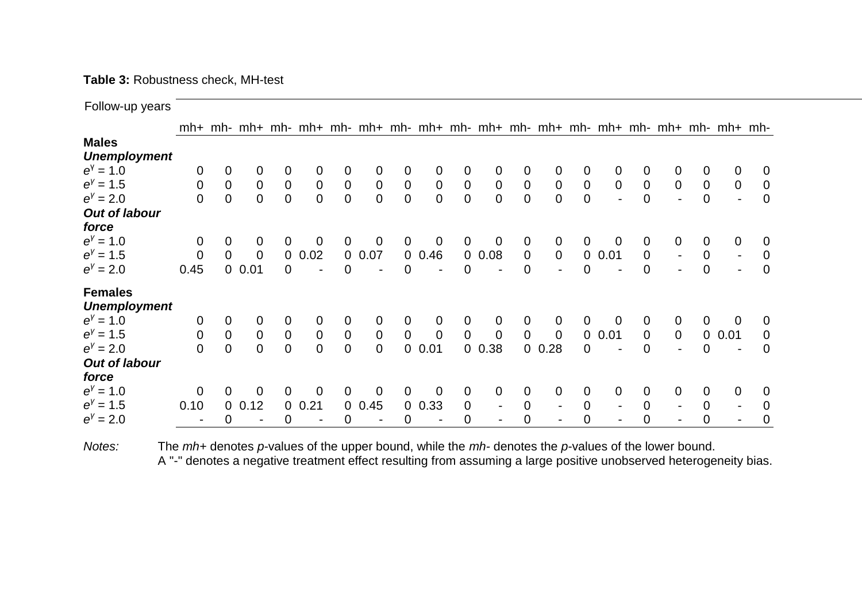## **Table 3:** Robustness check, MH-test

Follow-up years 1 2 3 4 5 6 7 mh+ mh- mh+ mh- mh+ mh- mh+ mh- mh+ mh- mh+ mh- mh+ mh- mh+ mh- mh+ mh- mh+ mh-**Males** *Unemployment e* γ = 1.0 0 0 0 0 0 0 0 0 0 0 0 0 0 0 0 0 0 0 0 0 *e γ* = 1.5 0 0 0 0 0 0 0 0 0 0 0 0 0 0 0 0 0 0 0 0 *e γ* = 2.0 0 0 0 0 0 0 0 0 0 0 0 0 0 0 - 0 - 0 - 0 *Out of labour force e γ* = 1.0 0 0 0 0 0 0 0 0 0 0 0 0 0 0 0 0 0 0 0 0 *e γ* = 1.5 0 0 0 0 0.02 0 0.07 0 0.46 0 0.08 0 0 0 0.01 0 - 0 - 0 *e γ* = 2.0 0.45 0 0.01 0 - 0 - 0 - 0 - 0 - 0 - 0 - 0 - 0 **Females** *Unemployment e γ* = 1.0 0 0 0 0 0 0 0 0 0 0 0 0 0 0 0 0 0 0 0 0 *e γ* = 1.5 0 0 0 0 0 0 0 0 0 0 0 0 0 0 0.01 0 0 0 0.01 0 *e γ* = 2.0 0 0 0 0 0 0 0 0 0.01 0 0.38 0 0.28 0 - 0 - 0 - 0 *Out of labour force e γ* = 1.0 0 0 0 0 0 0 0 0 0 0 0 0 0 0 0 0 0 0 0 0 *e γ* = 1.5 0.10 0 0.12 0 0.21 0 0.45 0 0.33 0 - 0 - 0 - 0 - 0 - 0 *e γ* = 2.0 - 0 - 0 - 0 - 0 - 0 - 0 - 0 - 0 - 0 - 0

*Notes:* The *mh+* denotes *p*-values of the upper bound, while the *mh-* denotes the *p*-values of the lower bound. A "-" denotes a negative treatment effect resulting from assuming a large positive unobserved heterogeneity bias.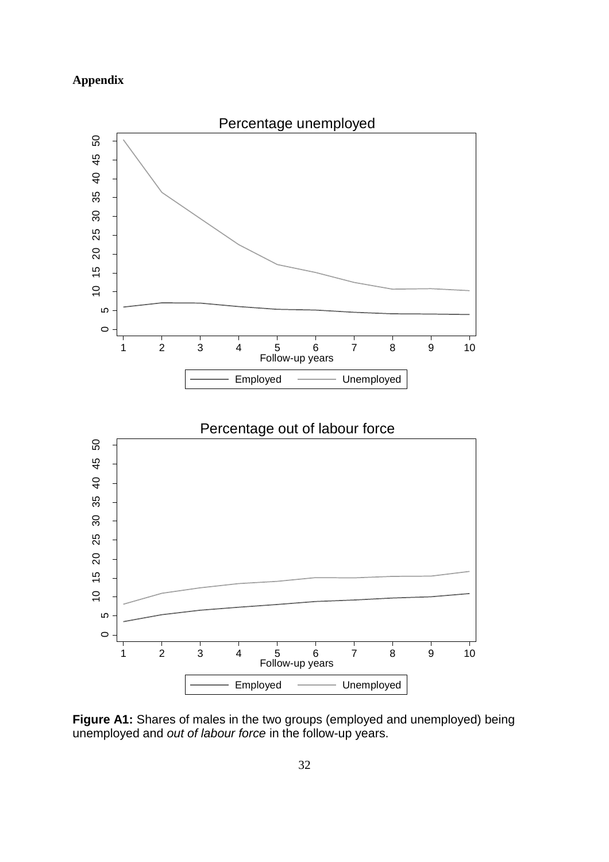## **Appendix**



**Figure A1:** Shares of males in the two groups (employed and unemployed) being unemployed and *out of labour force* in the follow-up years.